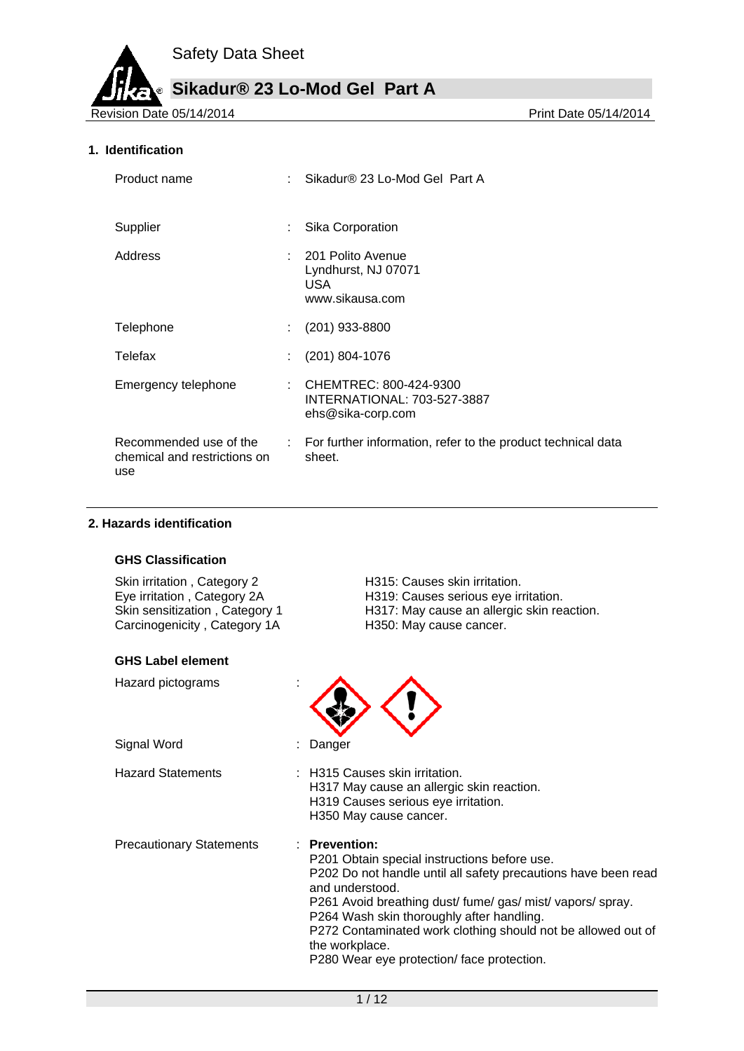**Sikadur® 23 Lo-Mod Gel Part A**

Revision Date 05/14/2014

### **1. Identification**

| Product name                                                  | Sikadur® 23 Lo-Mod Gel Part A                                                  |
|---------------------------------------------------------------|--------------------------------------------------------------------------------|
| Supplier                                                      | Sika Corporation                                                               |
| Address                                                       | 201 Polito Avenue<br>Lyndhurst, NJ 07071<br>USA<br>www.sikausa.com             |
| Telephone                                                     | $(201)$ 933-8800                                                               |
| Telefax                                                       | $(201) 804 - 1076$                                                             |
| Emergency telephone                                           | : CHEMTREC: $800-424-9300$<br>INTERNATIONAL: 703-527-3887<br>ehs@sika-corp.com |
| Recommended use of the<br>chemical and restrictions on<br>use | : For further information, refer to the product technical data<br>sheet.       |

### **2. Hazards identification**

#### **GHS Classification**

Skin irritation , Category 2 <br>
Eye irritation , Category 2A 
H319: Causes serious eye ir Carcinogenicity, Category 1A

#### **GHS Label element**

Hazard pictograms :

Signal Word : Danger

Eye irritation , Category 2A H319: Causes serious eye irritation.<br>Skin sensitization , Category 1 H317: May cause an allergic skin rea H317: May cause an allergic skin reaction.<br>H350: May cause cancer.



Hazard Statements : H315 Causes skin irritation. H317 May cause an allergic skin reaction. H319 Causes serious eye irritation. H350 May cause cancer.

Precautionary Statements : **Prevention:** 

P201 Obtain special instructions before use.

P202 Do not handle until all safety precautions have been read and understood. P261 Avoid breathing dust/ fume/ gas/ mist/ vapors/ spray.

P264 Wash skin thoroughly after handling.

P272 Contaminated work clothing should not be allowed out of the workplace.

P280 Wear eye protection/ face protection.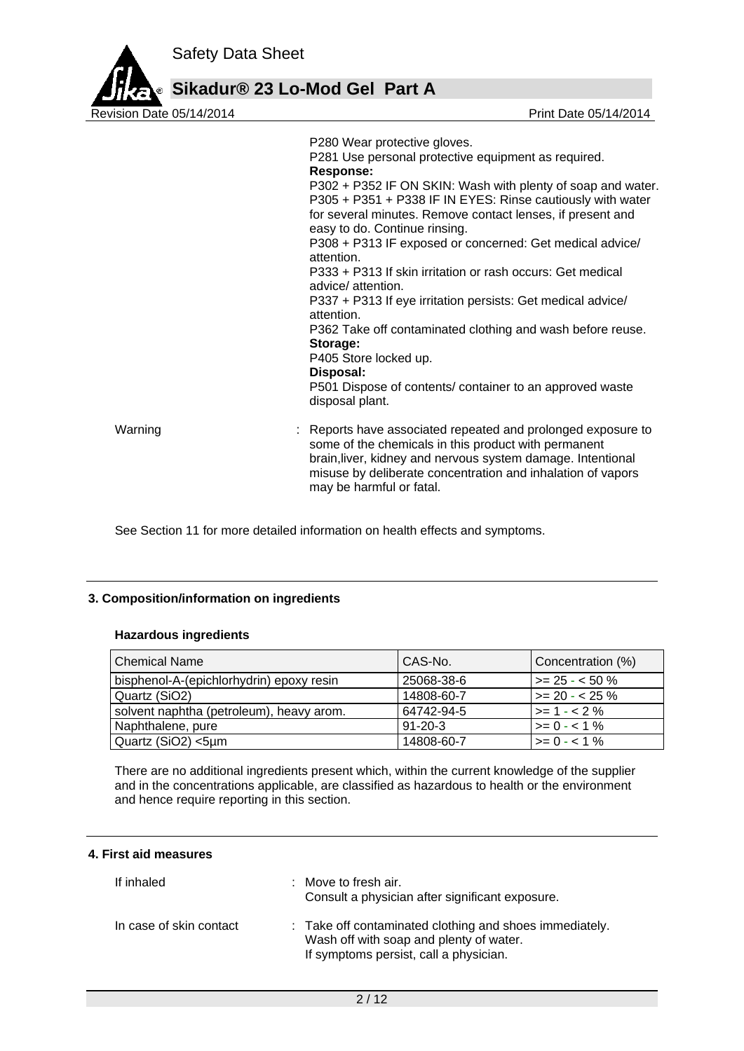

|         | P280 Wear protective gloves.<br>P281 Use personal protective equipment as required.<br><b>Response:</b><br>P302 + P352 IF ON SKIN: Wash with plenty of soap and water.<br>P305 + P351 + P338 IF IN EYES: Rinse cautiously with water<br>for several minutes. Remove contact lenses, if present and<br>easy to do. Continue rinsing.<br>P308 + P313 IF exposed or concerned: Get medical advice/<br>attention.<br>P333 + P313 If skin irritation or rash occurs: Get medical<br>advice/ attention.<br>P337 + P313 If eye irritation persists: Get medical advice/<br>attention. |  |  |
|---------|--------------------------------------------------------------------------------------------------------------------------------------------------------------------------------------------------------------------------------------------------------------------------------------------------------------------------------------------------------------------------------------------------------------------------------------------------------------------------------------------------------------------------------------------------------------------------------|--|--|
|         | Storage:<br>P405 Store locked up.<br>Disposal:<br>P501 Dispose of contents/ container to an approved waste<br>disposal plant.                                                                                                                                                                                                                                                                                                                                                                                                                                                  |  |  |
| Warning | : Reports have associated repeated and prolonged exposure to<br>some of the chemicals in this product with permanent<br>brain, liver, kidney and nervous system damage. Intentional<br>misuse by deliberate concentration and inhalation of vapors<br>may be harmful or fatal.                                                                                                                                                                                                                                                                                                 |  |  |

See Section 11 for more detailed information on health effects and symptoms.

## **3. Composition/information on ingredients**

## **Hazardous ingredients**

| <b>Chemical Name</b>                     | CAS-No.       | Concentration (%) |
|------------------------------------------|---------------|-------------------|
| bisphenol-A-(epichlorhydrin) epoxy resin | 25068-38-6    | $\ge$ 25 - < 50 % |
| Quartz (SiO2)                            | 14808-60-7    | $>= 20 - 25 \%$   |
| solvent naphtha (petroleum), heavy arom. | 64742-94-5    | $>= 1 - 2%$       |
| Naphthalene, pure                        | $91 - 20 - 3$ | $>= 0 - 1\%$      |
| Quartz (SiO2) <5µm                       | 14808-60-7    | $>= 0 - 1\%$      |

There are no additional ingredients present which, within the current knowledge of the supplier and in the concentrations applicable, are classified as hazardous to health or the environment and hence require reporting in this section.

## **4. First aid measures**

| If inhaled              | $\therefore$ Move to fresh air.<br>Consult a physician after significant exposure.                                                           |
|-------------------------|----------------------------------------------------------------------------------------------------------------------------------------------|
| In case of skin contact | : Take off contaminated clothing and shoes immediately.<br>Wash off with soap and plenty of water.<br>If symptoms persist, call a physician. |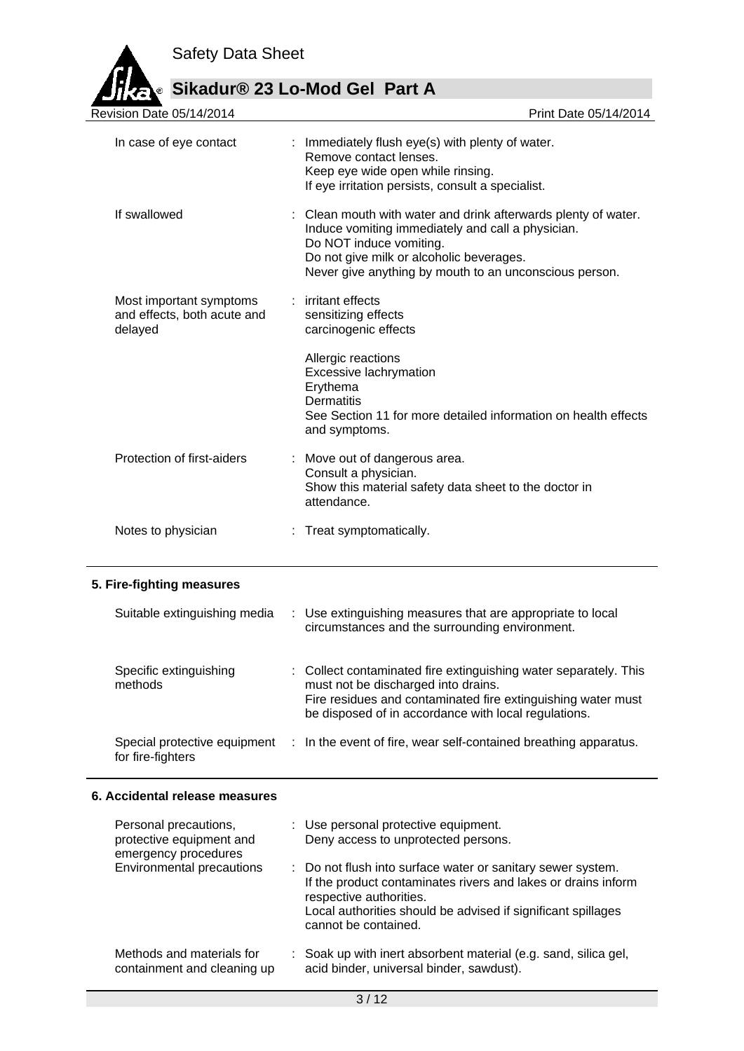

**Sikadur® 23 Lo-Mod Gel Part A**

| Revision Date 05/14/2014                                                  |  | Print Date 05/14/2014                                                                                                                                                                                                                              |
|---------------------------------------------------------------------------|--|----------------------------------------------------------------------------------------------------------------------------------------------------------------------------------------------------------------------------------------------------|
| In case of eye contact                                                    |  | : Immediately flush eye(s) with plenty of water.<br>Remove contact lenses.<br>Keep eye wide open while rinsing.<br>If eye irritation persists, consult a specialist.                                                                               |
| If swallowed                                                              |  | Clean mouth with water and drink afterwards plenty of water.<br>Induce vomiting immediately and call a physician.<br>Do NOT induce vomiting.<br>Do not give milk or alcoholic beverages.<br>Never give anything by mouth to an unconscious person. |
| Most important symptoms<br>and effects, both acute and<br>delayed         |  | : irritant effects<br>sensitizing effects<br>carcinogenic effects                                                                                                                                                                                  |
|                                                                           |  | Allergic reactions<br>Excessive lachrymation<br>Erythema<br><b>Dermatitis</b><br>See Section 11 for more detailed information on health effects<br>and symptoms.                                                                                   |
| Protection of first-aiders                                                |  | Move out of dangerous area.<br>Consult a physician.<br>Show this material safety data sheet to the doctor in<br>attendance.                                                                                                                        |
| Notes to physician                                                        |  | : Treat symptomatically.                                                                                                                                                                                                                           |
| 5. Fire-fighting measures                                                 |  |                                                                                                                                                                                                                                                    |
| Suitable extinguishing media                                              |  | : Use extinguishing measures that are appropriate to local<br>circumstances and the surrounding environment.                                                                                                                                       |
| Specific extinguishing<br>methods                                         |  | : Collect contaminated fire extinguishing water separately. This<br>must not be discharged into drains.<br>Fire residues and contaminated fire extinguishing water must<br>be disposed of in accordance with local regulations.                    |
| Special protective equipment<br>for fire-fighters                         |  | : In the event of fire, wear self-contained breathing apparatus.                                                                                                                                                                                   |
| 6. Accidental release measures                                            |  |                                                                                                                                                                                                                                                    |
| Personal precautions,<br>protective equipment and<br>emergency procedures |  | : Use personal protective equipment.<br>Deny access to unprotected persons.                                                                                                                                                                        |
| Environmental precautions                                                 |  | : Do not flush into surface water or sanitary sewer system.<br>If the product contaminates rivers and lakes or drains inform<br>respective authorities.<br>Local authorities should be advised if significant spillages<br>cannot be contained.    |
| Methods and materials for<br>containment and cleaning up                  |  | : Soak up with inert absorbent material (e.g. sand, silica gel,<br>acid binder, universal binder, sawdust).                                                                                                                                        |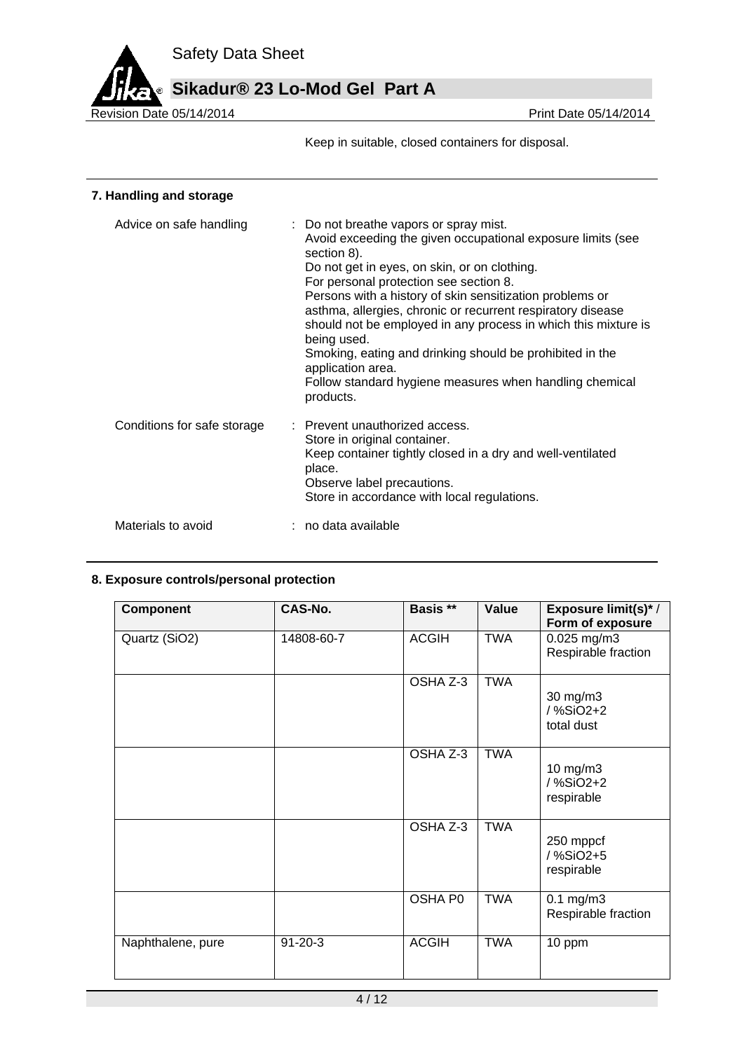

Keep in suitable, closed containers for disposal.

# **7. Handling and storage**

| Advice on safe handling     | : Do not breathe vapors or spray mist.<br>Avoid exceeding the given occupational exposure limits (see<br>section 8).<br>Do not get in eyes, on skin, or on clothing.<br>For personal protection see section 8.<br>Persons with a history of skin sensitization problems or<br>asthma, allergies, chronic or recurrent respiratory disease<br>should not be employed in any process in which this mixture is<br>being used.<br>Smoking, eating and drinking should be prohibited in the<br>application area.<br>Follow standard hygiene measures when handling chemical<br>products. |
|-----------------------------|-------------------------------------------------------------------------------------------------------------------------------------------------------------------------------------------------------------------------------------------------------------------------------------------------------------------------------------------------------------------------------------------------------------------------------------------------------------------------------------------------------------------------------------------------------------------------------------|
| Conditions for safe storage | : Prevent unauthorized access.<br>Store in original container.<br>Keep container tightly closed in a dry and well-ventilated<br>place.<br>Observe label precautions.<br>Store in accordance with local regulations.                                                                                                                                                                                                                                                                                                                                                                 |
| Materials to avoid          | : no data available                                                                                                                                                                                                                                                                                                                                                                                                                                                                                                                                                                 |

## **8. Exposure controls/personal protection**

| <b>Component</b>  | <b>CAS-No.</b> | Basis **     | Value      | <b>Exposure limit(s)*/</b><br>Form of exposure |
|-------------------|----------------|--------------|------------|------------------------------------------------|
| Quartz (SiO2)     | 14808-60-7     | <b>ACGIH</b> | <b>TWA</b> | 0.025 mg/m3<br>Respirable fraction             |
|                   |                | OSHA Z-3     | <b>TWA</b> | 30 mg/m3<br>/%SiO2+2<br>total dust             |
|                   |                | OSHA Z-3     | <b>TWA</b> | 10 mg/m $3$<br>/%SiO2+2<br>respirable          |
|                   |                | OSHA Z-3     | <b>TWA</b> | 250 mppcf<br>/%SiO2+5<br>respirable            |
|                   |                | OSHA P0      | <b>TWA</b> | $0.1$ mg/m $3$<br>Respirable fraction          |
| Naphthalene, pure | $91 - 20 - 3$  | <b>ACGIH</b> | <b>TWA</b> | 10 ppm                                         |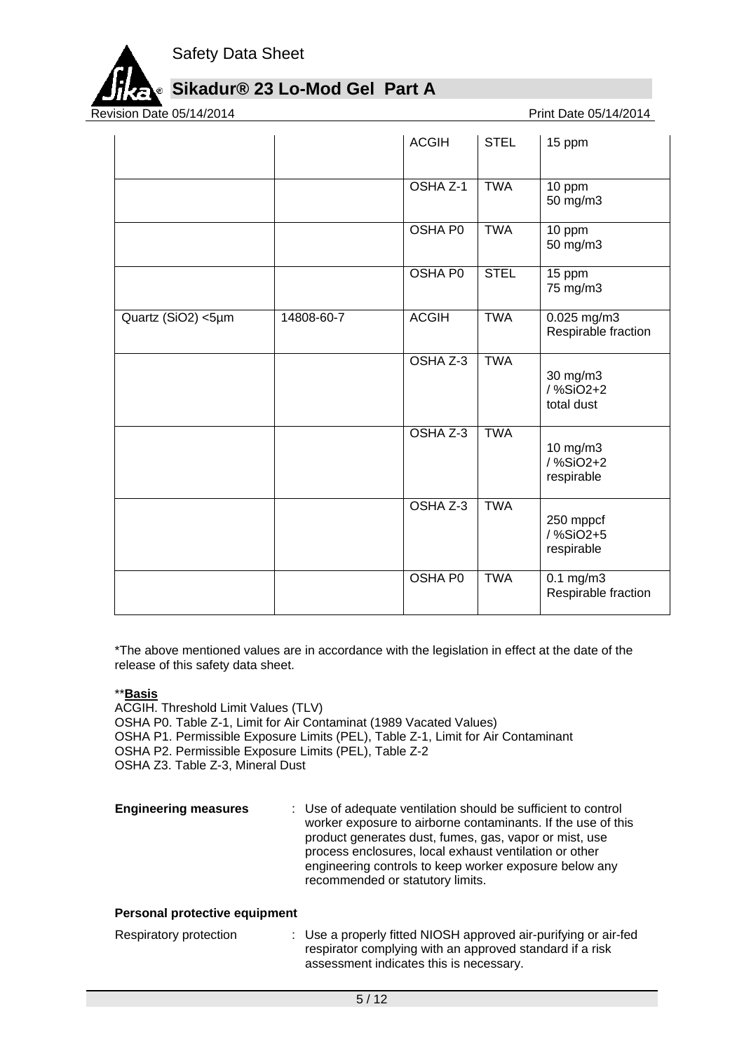

# **Sikadur® 23 Lo-Mod Gel Part A**

Revision Date 05/14/2014

|                    |            | <b>ACGIH</b>        | <b>STEL</b> | 15 ppm                                      |
|--------------------|------------|---------------------|-------------|---------------------------------------------|
|                    |            | OSHA <sub>Z-1</sub> | <b>TWA</b>  | 10 ppm<br>50 mg/m3                          |
|                    |            | OSHA PO             | <b>TWA</b>  | 10 ppm<br>50 mg/m3                          |
|                    |            | <b>OSHA PO</b>      | <b>STEL</b> | 15 ppm<br>75 mg/m3                          |
| Quartz (SiO2) <5µm | 14808-60-7 | <b>ACGIH</b>        | <b>TWA</b>  | 0.025 mg/m3<br>Respirable fraction          |
|                    |            | OSHA Z-3            | <b>TWA</b>  | 30 mg/m3<br>/%SiO2+2<br>total dust          |
|                    |            | OSHA Z-3            | <b>TWA</b>  | 10 mg/m3<br>/ %SiO2+2<br>respirable         |
|                    |            | OSHA Z-3            | <b>TWA</b>  | 250 mppcf<br>/%SiO2+5<br>respirable         |
|                    |            | <b>OSHA PO</b>      | <b>TWA</b>  | $0.1 \text{ mg/m}$ 3<br>Respirable fraction |

\*The above mentioned values are in accordance with the legislation in effect at the date of the release of this safety data sheet.

## \*\***Basis**

ACGIH. Threshold Limit Values (TLV) OSHA P0. Table Z-1, Limit for Air Contaminat (1989 Vacated Values) OSHA P1. Permissible Exposure Limits (PEL), Table Z-1, Limit for Air Contaminant OSHA P2. Permissible Exposure Limits (PEL), Table Z-2 OSHA Z3. Table Z-3, Mineral Dust

**Engineering measures** : Use of adequate ventilation should be sufficient to control worker exposure to airborne contaminants. If the use of this product generates dust, fumes, gas, vapor or mist, use process enclosures, local exhaust ventilation or other engineering controls to keep worker exposure below any recommended or statutory limits.

## **Personal protective equipment**

| Respiratory protection | : Use a properly fitted NIOSH approved air-purifying or air-fed |
|------------------------|-----------------------------------------------------------------|
|                        | respirator complying with an approved standard if a risk        |
|                        | assessment indicates this is necessary.                         |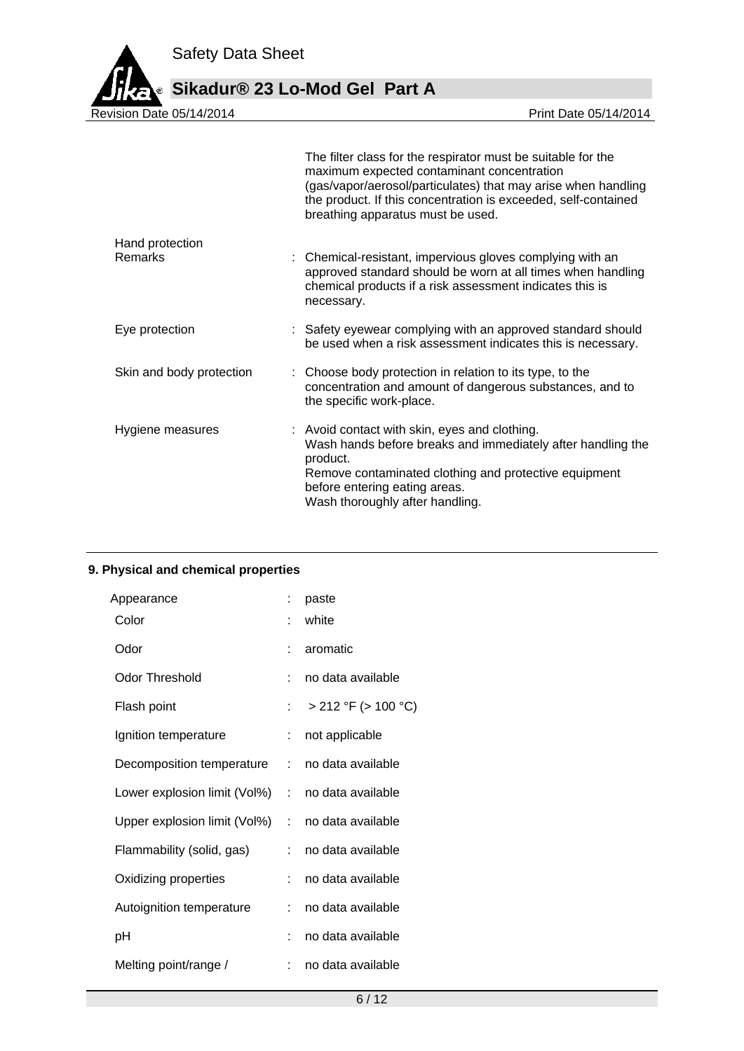

|                          | The filter class for the respirator must be suitable for the<br>maximum expected contaminant concentration<br>(gas/vapor/aerosol/particulates) that may arise when handling<br>the product. If this concentration is exceeded, self-contained<br>breathing apparatus must be used. |
|--------------------------|------------------------------------------------------------------------------------------------------------------------------------------------------------------------------------------------------------------------------------------------------------------------------------|
| Hand protection          |                                                                                                                                                                                                                                                                                    |
| <b>Remarks</b>           | : Chemical-resistant, impervious gloves complying with an<br>approved standard should be worn at all times when handling<br>chemical products if a risk assessment indicates this is<br>necessary.                                                                                 |
| Eye protection           | : Safety eyewear complying with an approved standard should<br>be used when a risk assessment indicates this is necessary.                                                                                                                                                         |
| Skin and body protection | : Choose body protection in relation to its type, to the<br>concentration and amount of dangerous substances, and to<br>the specific work-place.                                                                                                                                   |
| Hygiene measures         | : Avoid contact with skin, eyes and clothing.<br>Wash hands before breaks and immediately after handling the<br>product.<br>Remove contaminated clothing and protective equipment<br>before entering eating areas.<br>Wash thoroughly after handling.                              |

# **9. Physical and chemical properties**

|                                | paste                    |
|--------------------------------|--------------------------|
|                                | white                    |
|                                | aromatic                 |
| t.                             | no data available        |
| t.                             | $> 212$ °F ( $> 100$ °C) |
| t.                             | not applicable           |
| Decomposition temperature :    | no data available        |
| Lower explosion limit (Vol%) : | no data available        |
| Upper explosion limit (Vol%) : | no data available        |
| t.                             | no data available        |
| t.                             | no data available        |
| t.                             | no data available        |
|                                | no data available        |
| t.                             | no data available        |
|                                |                          |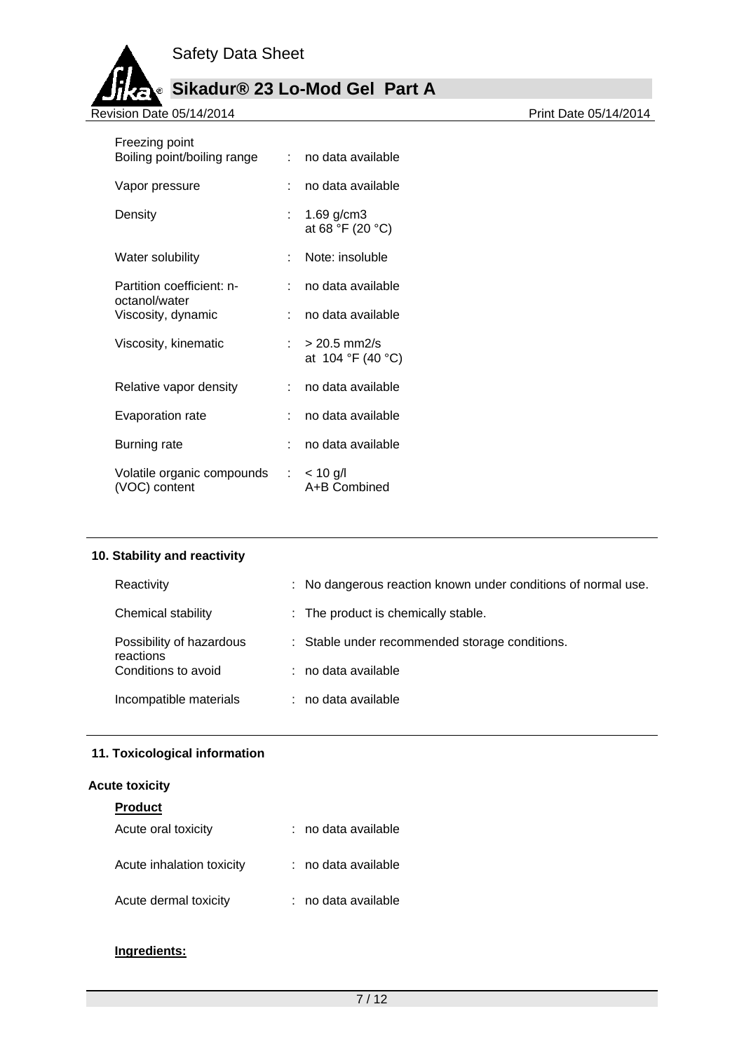

| Freezing point                              | <b>Participa</b> |                                     |
|---------------------------------------------|------------------|-------------------------------------|
| Boiling point/boiling range                 |                  | no data available                   |
| Vapor pressure                              | <b>.</b>         | no data available                   |
| Density                                     |                  | 1.69 $g/cm3$<br>at 68 °F (20 °C)    |
| Water solubility                            | × 1              | Note: insoluble                     |
| Partition coefficient: n-<br>octanol/water  | × 1              | no data available                   |
| Viscosity, dynamic                          | × 1              | no data available                   |
| Viscosity, kinematic                        | t in             | $> 20.5$ mm2/s<br>at 104 °F (40 °C) |
| Relative vapor density                      | t.               | no data available                   |
| Evaporation rate                            |                  | no data available                   |
| Burning rate                                |                  | no data available                   |
| Volatile organic compounds<br>(VOC) content |                  | : $< 10$ g/l<br>A+B Combined        |

# **10. Stability and reactivity**

| Reactivity                            | : No dangerous reaction known under conditions of normal use. |
|---------------------------------------|---------------------------------------------------------------|
| Chemical stability                    | : The product is chemically stable.                           |
| Possibility of hazardous<br>reactions | : Stable under recommended storage conditions.                |
| Conditions to avoid                   | : no data available                                           |
| Incompatible materials                | : no data available                                           |

# **11. Toxicological information**

# **Acute toxicity**

| <b>Product</b>            |                     |
|---------------------------|---------------------|
| Acute oral toxicity       | : no data available |
| Acute inhalation toxicity | : no data available |
| Acute dermal toxicity     | : no data available |

# **Ingredients:**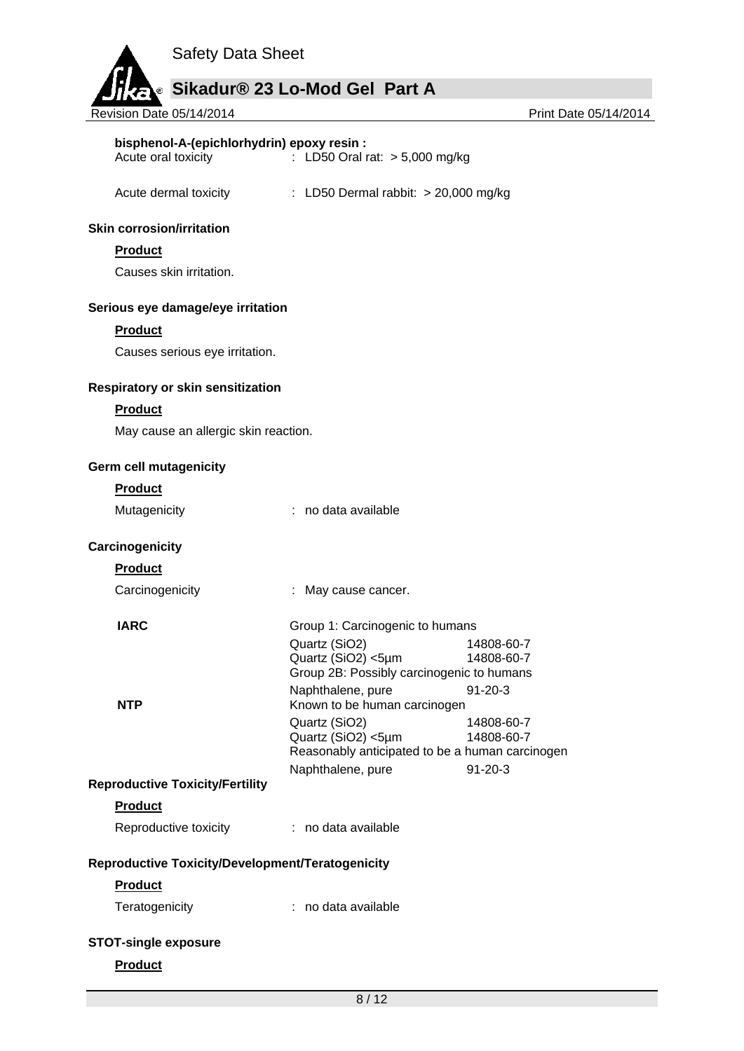

| bisphenol-A-(epichlorhydrin) epoxy resin :<br>Acute oral toxicity | : LD50 Oral rat: > 5,000 mg/kg                  |                          |
|-------------------------------------------------------------------|-------------------------------------------------|--------------------------|
| Acute dermal toxicity                                             | : LD50 Dermal rabbit: $> 20,000$ mg/kg          |                          |
| <b>Skin corrosion/irritation</b>                                  |                                                 |                          |
| <b>Product</b>                                                    |                                                 |                          |
| Causes skin irritation.                                           |                                                 |                          |
| Serious eye damage/eye irritation                                 |                                                 |                          |
| <b>Product</b>                                                    |                                                 |                          |
| Causes serious eye irritation.                                    |                                                 |                          |
| <b>Respiratory or skin sensitization</b>                          |                                                 |                          |
| <b>Product</b>                                                    |                                                 |                          |
| May cause an allergic skin reaction.                              |                                                 |                          |
| <b>Germ cell mutagenicity</b>                                     |                                                 |                          |
| <b>Product</b>                                                    |                                                 |                          |
| Mutagenicity                                                      | : no data available                             |                          |
| Carcinogenicity                                                   |                                                 |                          |
| <b>Product</b>                                                    |                                                 |                          |
| Carcinogenicity                                                   | : May cause cancer.                             |                          |
| <b>IARC</b>                                                       | Group 1: Carcinogenic to humans                 |                          |
|                                                                   | Quartz (SiO2)<br>Quartz (SiO2) <5µm             | 14808-60-7<br>14808-60-7 |
|                                                                   | Group 2B: Possibly carcinogenic to humans       |                          |
|                                                                   | Naphthalene, pure                               | $91 - 20 - 3$            |
| <b>NTP</b>                                                        | Known to be human carcinogen<br>Quartz (SiO2)   | 14808-60-7               |
|                                                                   | Quartz (SiO2) <5µm                              | 14808-60-7               |
|                                                                   | Reasonably anticipated to be a human carcinogen | $91 - 20 - 3$            |
| <b>Reproductive Toxicity/Fertility</b>                            | Naphthalene, pure                               |                          |
| <b>Product</b>                                                    |                                                 |                          |
| Reproductive toxicity                                             | : no data available                             |                          |
| Reproductive Toxicity/Development/Teratogenicity                  |                                                 |                          |
| <b>Product</b>                                                    |                                                 |                          |
| Teratogenicity                                                    | : no data available                             |                          |
| <b>STOT-single exposure</b>                                       |                                                 |                          |
| <b>Product</b>                                                    |                                                 |                          |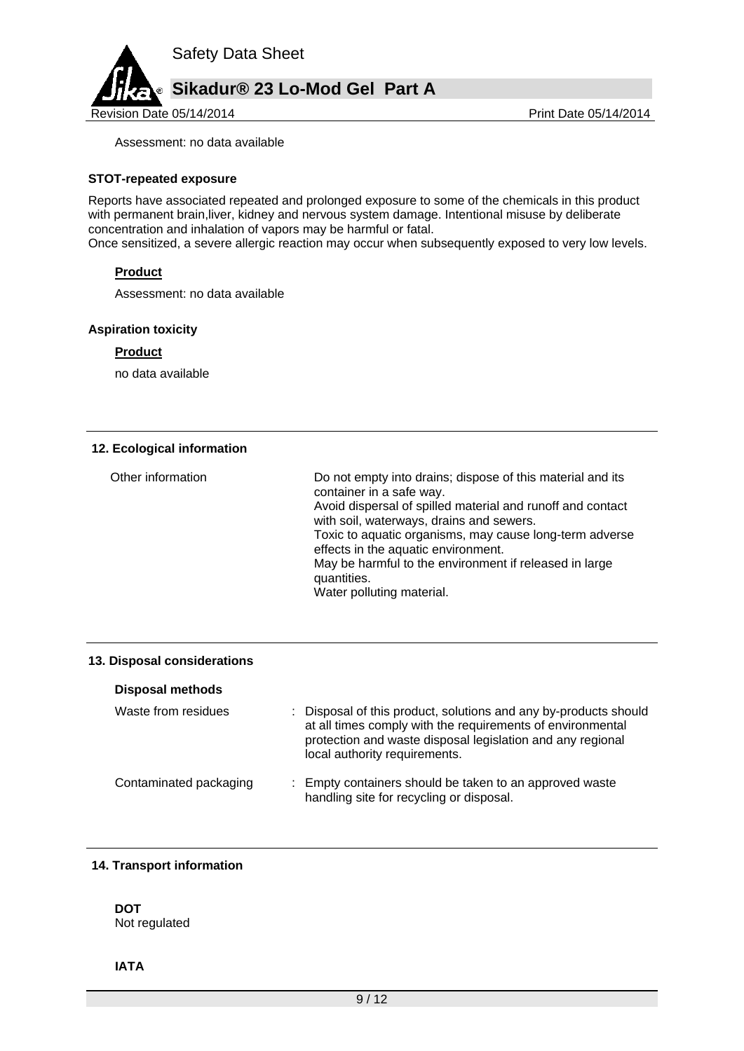

Assessment: no data available

## **STOT-repeated exposure**

Reports have associated repeated and prolonged exposure to some of the chemicals in this product with permanent brain, liver, kidney and nervous system damage. Intentional misuse by deliberate concentration and inhalation of vapors may be harmful or fatal.

Once sensitized, a severe allergic reaction may occur when subsequently exposed to very low levels.

## **Product**

Assessment: no data available

### **Aspiration toxicity**

## **Product**

no data available

## **12. Ecological information**

| Other information | Do not empty into drains; dispose of this material and its<br>container in a safe way.<br>Avoid dispersal of spilled material and runoff and contact<br>with soil, waterways, drains and sewers.<br>Toxic to aquatic organisms, may cause long-term adverse<br>effects in the aquatic environment.<br>May be harmful to the environment if released in large<br>quantities.<br>Water polluting material. |
|-------------------|----------------------------------------------------------------------------------------------------------------------------------------------------------------------------------------------------------------------------------------------------------------------------------------------------------------------------------------------------------------------------------------------------------|
|-------------------|----------------------------------------------------------------------------------------------------------------------------------------------------------------------------------------------------------------------------------------------------------------------------------------------------------------------------------------------------------------------------------------------------------|

## **13. Disposal considerations**

| <b>Disposal methods</b> |                                                                                                                                                                                                                               |  |
|-------------------------|-------------------------------------------------------------------------------------------------------------------------------------------------------------------------------------------------------------------------------|--|
| Waste from residues     | : Disposal of this product, solutions and any by-products should<br>at all times comply with the requirements of environmental<br>protection and waste disposal legislation and any regional<br>local authority requirements. |  |
| Contaminated packaging  | : Empty containers should be taken to an approved waste<br>handling site for recycling or disposal.                                                                                                                           |  |

## **14. Transport information**

### **DOT** Not regulated

**IATA**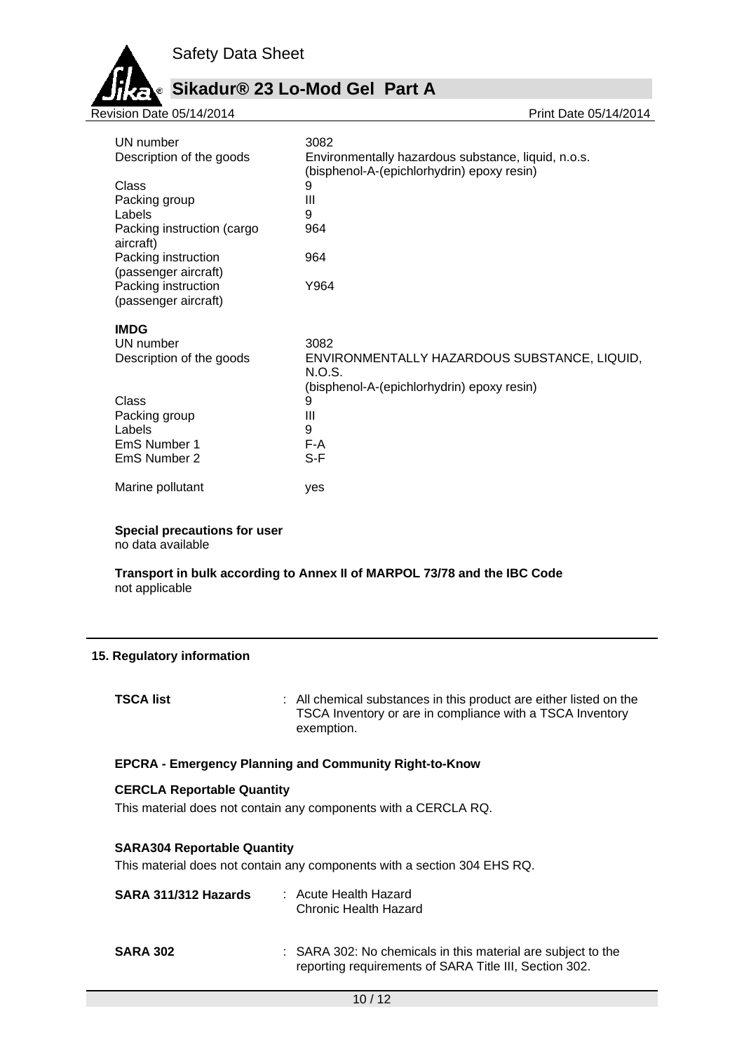

# **Sikadur® 23 Lo-Mod Gel Part A**

| Revision Date 05/14/2014                    | Print Date 05/14/2014                                                                             |
|---------------------------------------------|---------------------------------------------------------------------------------------------------|
|                                             |                                                                                                   |
| UN number                                   | 3082                                                                                              |
| Description of the goods                    | Environmentally hazardous substance, liquid, n.o.s.<br>(bisphenol-A-(epichlorhydrin) epoxy resin) |
| Class                                       | 9                                                                                                 |
| Packing group                               | Ш                                                                                                 |
| Labels                                      | 9                                                                                                 |
| Packing instruction (cargo<br>aircraft)     | 964                                                                                               |
| Packing instruction<br>(passenger aircraft) | 964                                                                                               |
| Packing instruction<br>(passenger aircraft) | Y964                                                                                              |
| <b>IMDG</b>                                 |                                                                                                   |
| UN number                                   | 3082                                                                                              |
| Description of the goods                    | ENVIRONMENTALLY HAZARDOUS SUBSTANCE, LIQUID,<br>N.O.S.                                            |
|                                             | (bisphenol-A-(epichlorhydrin) epoxy resin)                                                        |
| <b>Class</b>                                | 9                                                                                                 |
| Packing group                               | Ш                                                                                                 |
| Labels                                      | 9                                                                                                 |
| EmS Number 1                                | F-A                                                                                               |
| EmS Number 2                                | $S-F$                                                                                             |
| Marine pollutant                            | yes                                                                                               |
|                                             |                                                                                                   |

**Special precautions for user**

no data available

## **Transport in bulk according to Annex II of MARPOL 73/78 and the IBC Code** not applicable

## **15. Regulatory information**

**TSCA list** : All chemical substances in this product are either listed on the TSCA Inventory or are in compliance with a TSCA Inventory exemption.

## **EPCRA - Emergency Planning and Community Right-to-Know**

### **CERCLA Reportable Quantity**

This material does not contain any components with a CERCLA RQ.

## **SARA304 Reportable Quantity**

This material does not contain any components with a section 304 EHS RQ.

| SARA 311/312 Hazards | : Acute Health Hazard<br><b>Chronic Health Hazard</b>                                                                  |
|----------------------|------------------------------------------------------------------------------------------------------------------------|
| <b>SARA 302</b>      | : SARA 302: No chemicals in this material are subject to the<br>reporting requirements of SARA Title III, Section 302. |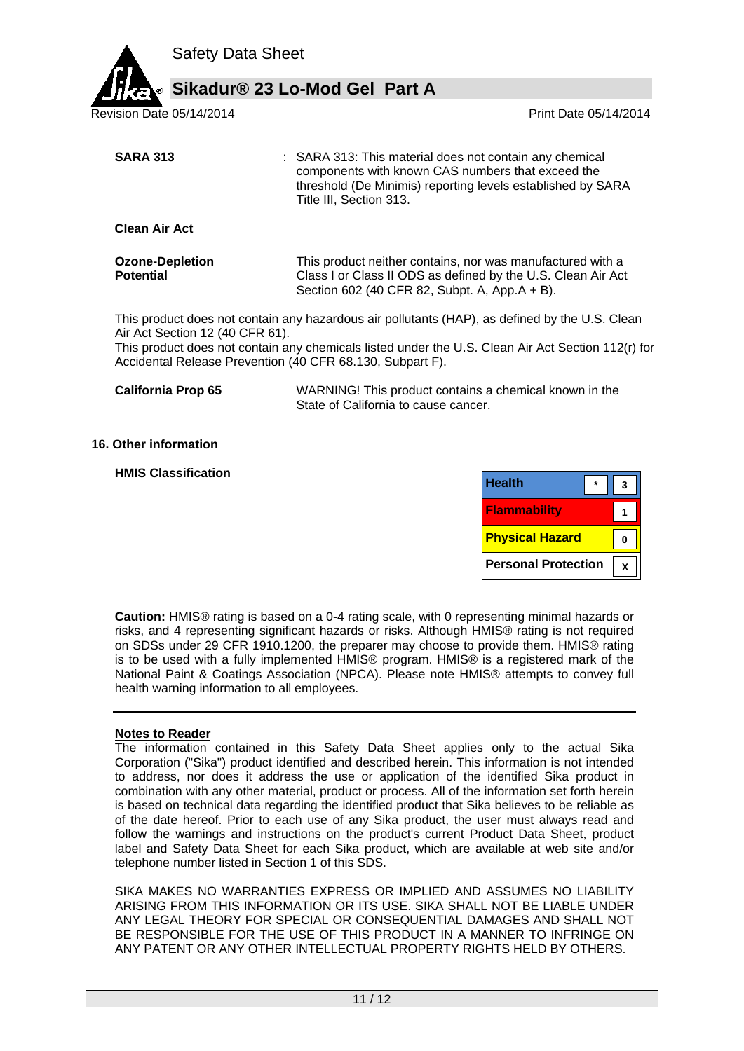

| <b>SARA 313</b>                                                                              | : SARA 313: This material does not contain any chemical<br>components with known CAS numbers that exceed the<br>threshold (De Minimis) reporting levels established by SARA<br>Title III, Section 313. |
|----------------------------------------------------------------------------------------------|--------------------------------------------------------------------------------------------------------------------------------------------------------------------------------------------------------|
| <b>Clean Air Act</b>                                                                         |                                                                                                                                                                                                        |
| <b>Ozone-Depletion</b><br><b>Potential</b>                                                   | This product neither contains, nor was manufactured with a<br>Class I or Class II ODS as defined by the U.S. Clean Air Act<br>Section 602 (40 CFR 82, Subpt. A, App.A + B).                            |
| Air Act Section 12 (40 CFR 61).<br>Accidental Release Prevention (40 CFR 68.130, Subpart F). | This product does not contain any hazardous air pollutants (HAP), as defined by the U.S. Clean<br>This product does not contain any chemicals listed under the U.S. Clean Air Act Section 112(r) for   |

| <b>California Prop 65</b> | WARNING! This product contains a chemical known in the |
|---------------------------|--------------------------------------------------------|
|                           | State of California to cause cancer.                   |

#### **16. Other information**

#### **HMIS Classification**

| <b>Health</b>          |  |
|------------------------|--|
| <b>Flammability</b>    |  |
| <b>Physical Hazard</b> |  |
|                        |  |

**Caution:** HMIS® rating is based on a 0-4 rating scale, with 0 representing minimal hazards or risks, and 4 representing significant hazards or risks. Although HMIS® rating is not required on SDSs under 29 CFR 1910.1200, the preparer may choose to provide them. HMIS® rating is to be used with a fully implemented HMIS® program. HMIS® is a registered mark of the National Paint & Coatings Association (NPCA). Please note HMIS® attempts to convey full health warning information to all employees.

## **Notes to Reader**

The information contained in this Safety Data Sheet applies only to the actual Sika Corporation ("Sika") product identified and described herein. This information is not intended to address, nor does it address the use or application of the identified Sika product in combination with any other material, product or process. All of the information set forth herein is based on technical data regarding the identified product that Sika believes to be reliable as of the date hereof. Prior to each use of any Sika product, the user must always read and follow the warnings and instructions on the product's current Product Data Sheet, product label and Safety Data Sheet for each Sika product, which are available at web site and/or telephone number listed in Section 1 of this SDS.

SIKA MAKES NO WARRANTIES EXPRESS OR IMPLIED AND ASSUMES NO LIABILITY ARISING FROM THIS INFORMATION OR ITS USE. SIKA SHALL NOT BE LIABLE UNDER ANY LEGAL THEORY FOR SPECIAL OR CONSEQUENTIAL DAMAGES AND SHALL NOT BE RESPONSIBLE FOR THE USE OF THIS PRODUCT IN A MANNER TO INFRINGE ON ANY PATENT OR ANY OTHER INTELLECTUAL PROPERTY RIGHTS HELD BY OTHERS.